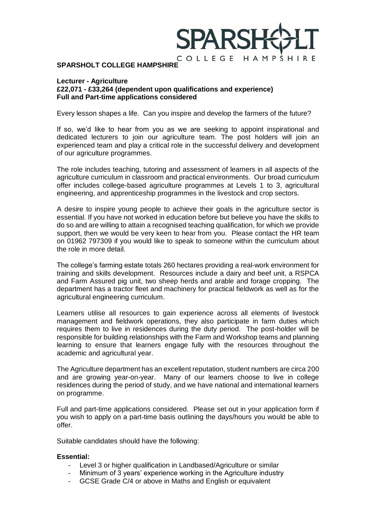

#### **SPARSHOLT COLLEGE HAMPSHIRE**

#### **Lecturer - Agriculture**

# **£22,071 - £33,264 (dependent upon qualifications and experience) Full and Part-time applications considered**

Every lesson shapes a life. Can you inspire and develop the farmers of the future?

If so, we'd like to hear from you as we are seeking to appoint inspirational and dedicated lecturers to join our agriculture team. The post holders will join an experienced team and play a critical role in the successful delivery and development of our agriculture programmes.

The role includes teaching, tutoring and assessment of learners in all aspects of the agriculture curriculum in classroom and practical environments. Our broad curriculum offer includes college-based agriculture programmes at Levels 1 to 3, agricultural engineering, and apprenticeship programmes in the livestock and crop sectors.

A desire to inspire young people to achieve their goals in the agriculture sector is essential. If you have not worked in education before but believe you have the skills to do so and are willing to attain a recognised teaching qualification, for which we provide support, then we would be very keen to hear from you. Please contact the HR team on 01962 797309 if you would like to speak to someone within the curriculum about the role in more detail.

The college's farming estate totals 260 hectares providing a real-work environment for training and skills development. Resources include a dairy and beef unit, a RSPCA and Farm Assured pig unit, two sheep herds and arable and forage cropping. The department has a tractor fleet and machinery for practical fieldwork as well as for the agricultural engineering curriculum.

Learners utilise all resources to gain experience across all elements of livestock management and fieldwork operations, they also participate in farm duties which requires them to live in residences during the duty period. The post-holder will be responsible for building relationships with the Farm and Workshop teams and planning learning to ensure that learners engage fully with the resources throughout the academic and agricultural year.

The Agriculture department has an excellent reputation, student numbers are circa 200 and are growing year-on-year. Many of our learners choose to live in college residences during the period of study, and we have national and international learners on programme.

Full and part-time applications considered. Please set out in your application form if you wish to apply on a part-time basis outlining the days/hours you would be able to offer.

Suitable candidates should have the following:

#### **Essential:**

- Level 3 or higher qualification in Landbased/Agriculture or similar
- Minimum of 3 years' experience working in the Agriculture industry
- GCSE Grade C/4 or above in Maths and English or equivalent